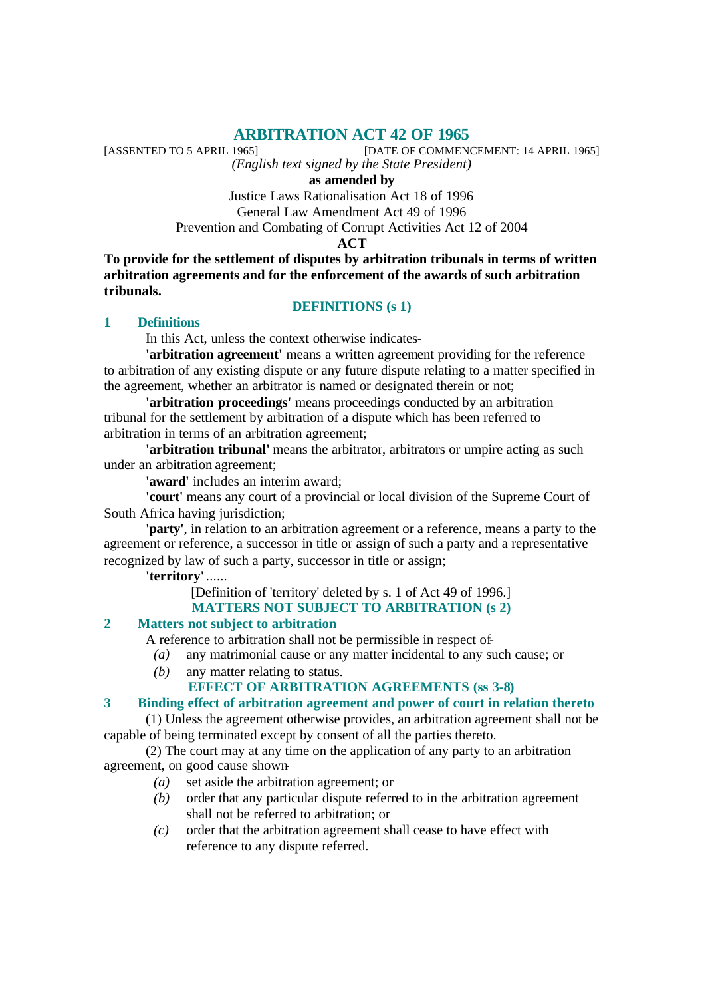**ARBITRATION ACT 42 OF 1965**<br>[DATE OF COMMENCED TO 5 APRIL 1965] [DATE OF COMMENCEMENT: 14 APRIL 1965]

*(English text signed by the State President)*

**as amended by**

Justice Laws Rationalisation Act 18 of 1996

General Law Amendment Act 49 of 1996

Prevention and Combating of Corrupt Activities Act 12 of 2004

**ACT**

**To provide for the settlement of disputes by arbitration tribunals in terms of written arbitration agreements and for the enforcement of the awards of such arbitration tribunals.**

# **DEFINITIONS (s 1)**

# **1 Definitions**

In this Act, unless the context otherwise indicates-

**'arbitration agreement'** means a written agreement providing for the reference to arbitration of any existing dispute or any future dispute relating to a matter specified in the agreement, whether an arbitrator is named or designated therein or not;

**'arbitration proceedings'** means proceedings conducted by an arbitration tribunal for the settlement by arbitration of a dispute which has been referred to arbitration in terms of an arbitration agreement;

**'arbitration tribunal'** means the arbitrator, arbitrators or umpire acting as such under an arbitration agreement;

**'award'** includes an interim award;

**'court'** means any court of a provincial or local division of the Supreme Court of South Africa having jurisdiction;

**'party'**, in relation to an arbitration agreement or a reference, means a party to the agreement or reference, a successor in title or assign of such a party and a representative recognized by law of such a party, successor in title or assign;

**'territory'** ......

[Definition of 'territory' deleted by s. 1 of Act 49 of 1996.] **MATTERS NOT SUBJECT TO ARBITRATION (s 2)**

# **2 Matters not subject to arbitration**

A reference to arbitration shall not be permissible in respect of-

- *(a)* any matrimonial cause or any matter incidental to any such cause; or
- *(b)* any matter relating to status.

# **EFFECT OF ARBITRATION AGREEMENTS (ss 3-8)**

# **3 Binding effect of arbitration agreement and power of court in relation thereto**

(1) Unless the agreement otherwise provides, an arbitration agreement shall not be capable of being terminated except by consent of all the parties thereto.

(2) The court may at any time on the application of any party to an arbitration agreement, on good cause shown-

- *(a)* set aside the arbitration agreement; or
- *(b)* order that any particular dispute referred to in the arbitration agreement shall not be referred to arbitration; or
- *(c)* order that the arbitration agreement shall cease to have effect with reference to any dispute referred.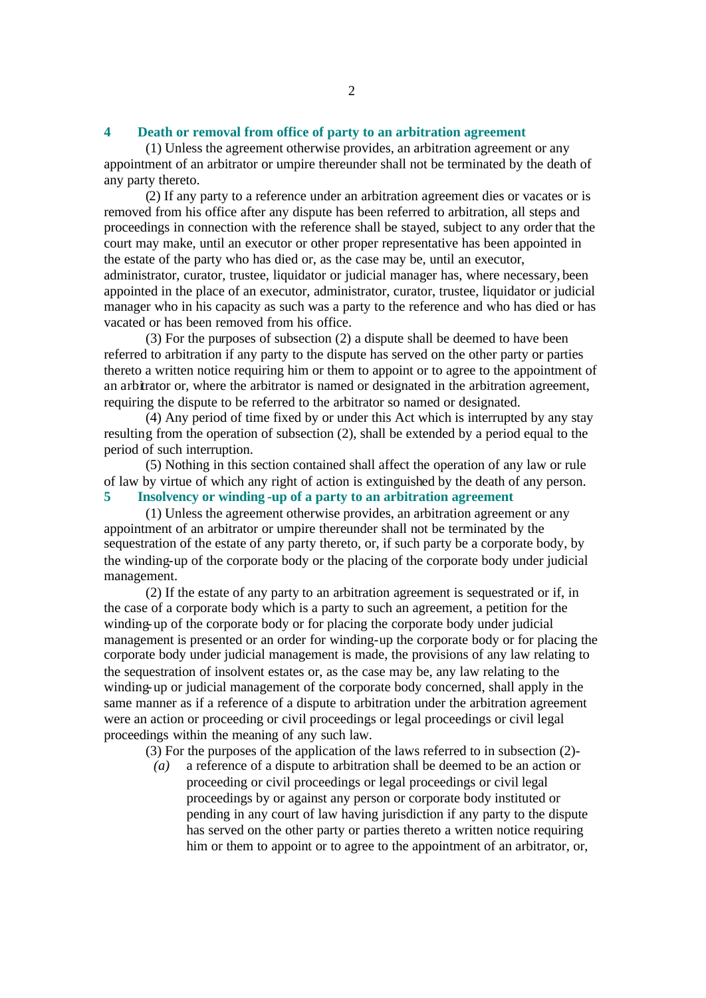#### **4 Death or removal from office of party to an arbitration agreement**

(1) Unless the agreement otherwise provides, an arbitration agreement or any appointment of an arbitrator or umpire thereunder shall not be terminated by the death of any party thereto.

(2) If any party to a reference under an arbitration agreement dies or vacates or is removed from his office after any dispute has been referred to arbitration, all steps and proceedings in connection with the reference shall be stayed, subject to any order that the court may make, until an executor or other proper representative has been appointed in the estate of the party who has died or, as the case may be, until an executor, administrator, curator, trustee, liquidator or judicial manager has, where necessary, been appointed in the place of an executor, administrator, curator, trustee, liquidator or judicial manager who in his capacity as such was a party to the reference and who has died or has vacated or has been removed from his office.

(3) For the purposes of subsection (2) a dispute shall be deemed to have been referred to arbitration if any party to the dispute has served on the other party or parties thereto a written notice requiring him or them to appoint or to agree to the appointment of an arbitrator or, where the arbitrator is named or designated in the arbitration agreement, requiring the dispute to be referred to the arbitrator so named or designated.

(4) Any period of time fixed by or under this Act which is interrupted by any stay resulting from the operation of subsection (2), shall be extended by a period equal to the period of such interruption.

(5) Nothing in this section contained shall affect the operation of any law or rule of law by virtue of which any right of action is extinguished by the death of any person. **5 Insolvency or winding -up of a party to an arbitration agreement**

(1) Unless the agreement otherwise provides, an arbitration agreement or any appointment of an arbitrator or umpire thereunder shall not be terminated by the sequestration of the estate of any party thereto, or, if such party be a corporate body, by the winding-up of the corporate body or the placing of the corporate body under judicial management.

(2) If the estate of any party to an arbitration agreement is sequestrated or if, in the case of a corporate body which is a party to such an agreement, a petition for the winding-up of the corporate body or for placing the corporate body under judicial management is presented or an order for winding-up the corporate body or for placing the corporate body under judicial management is made, the provisions of any law relating to the sequestration of insolvent estates or, as the case may be, any law relating to the winding-up or judicial management of the corporate body concerned, shall apply in the same manner as if a reference of a dispute to arbitration under the arbitration agreement were an action or proceeding or civil proceedings or legal proceedings or civil legal proceedings within the meaning of any such law.

(3) For the purposes of the application of the laws referred to in subsection (2)-

*(a)* a reference of a dispute to arbitration shall be deemed to be an action or proceeding or civil proceedings or legal proceedings or civil legal proceedings by or against any person or corporate body instituted or pending in any court of law having jurisdiction if any party to the dispute has served on the other party or parties thereto a written notice requiring him or them to appoint or to agree to the appointment of an arbitrator, or,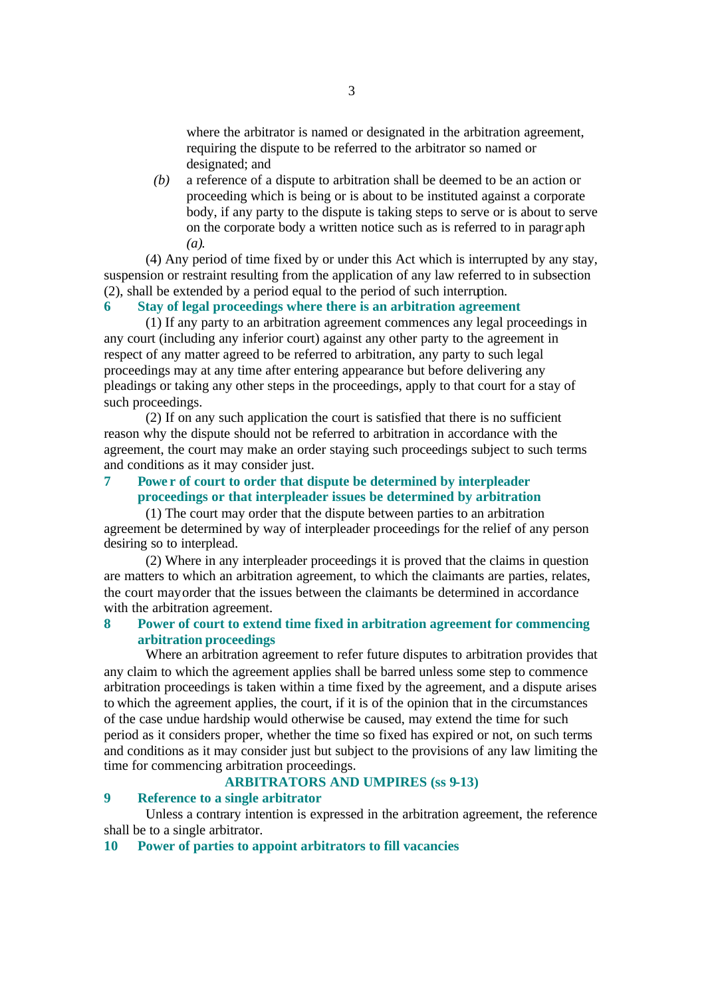where the arbitrator is named or designated in the arbitration agreement, requiring the dispute to be referred to the arbitrator so named or designated; and

*(b)* a reference of a dispute to arbitration shall be deemed to be an action or proceeding which is being or is about to be instituted against a corporate body, if any party to the dispute is taking steps to serve or is about to serve on the corporate body a written notice such as is referred to in paragr aph *(a)*.

(4) Any period of time fixed by or under this Act which is interrupted by any stay, suspension or restraint resulting from the application of any law referred to in subsection (2), shall be extended by a period equal to the period of such interruption.

# **6 Stay of legal proceedings where there is an arbitration agreement**

(1) If any party to an arbitration agreement commences any legal proceedings in any court (including any inferior court) against any other party to the agreement in respect of any matter agreed to be referred to arbitration, any party to such legal proceedings may at any time after entering appearance but before delivering any pleadings or taking any other steps in the proceedings, apply to that court for a stay of such proceedings.

(2) If on any such application the court is satisfied that there is no sufficient reason why the dispute should not be referred to arbitration in accordance with the agreement, the court may make an order staying such proceedings subject to such terms and conditions as it may consider just.

## **7 Powe r of court to order that dispute be determined by interpleader proceedings or that interpleader issues be determined by arbitration**

(1) The court may order that the dispute between parties to an arbitration agreement be determined by way of interpleader proceedings for the relief of any person desiring so to interplead.

(2) Where in any interpleader proceedings it is proved that the claims in question are matters to which an arbitration agreement, to which the claimants are parties, relates, the court may order that the issues between the claimants be determined in accordance with the arbitration agreement.

# **8 Power of court to extend time fixed in arbitration agreement for commencing arbitration proceedings**

Where an arbitration agreement to refer future disputes to arbitration provides that any claim to which the agreement applies shall be barred unless some step to commence arbitration proceedings is taken within a time fixed by the agreement, and a dispute arises to which the agreement applies, the court, if it is of the opinion that in the circumstances of the case undue hardship would otherwise be caused, may extend the time for such period as it considers proper, whether the time so fixed has expired or not, on such terms and conditions as it may consider just but subject to the provisions of any law limiting the time for commencing arbitration proceedings.

## **ARBITRATORS AND UMPIRES (ss 9-13)**

# **9 Reference to a single arbitrator**

Unless a contrary intention is expressed in the arbitration agreement, the reference shall be to a single arbitrator.

#### **10 Power of parties to appoint arbitrators to fill vacancies**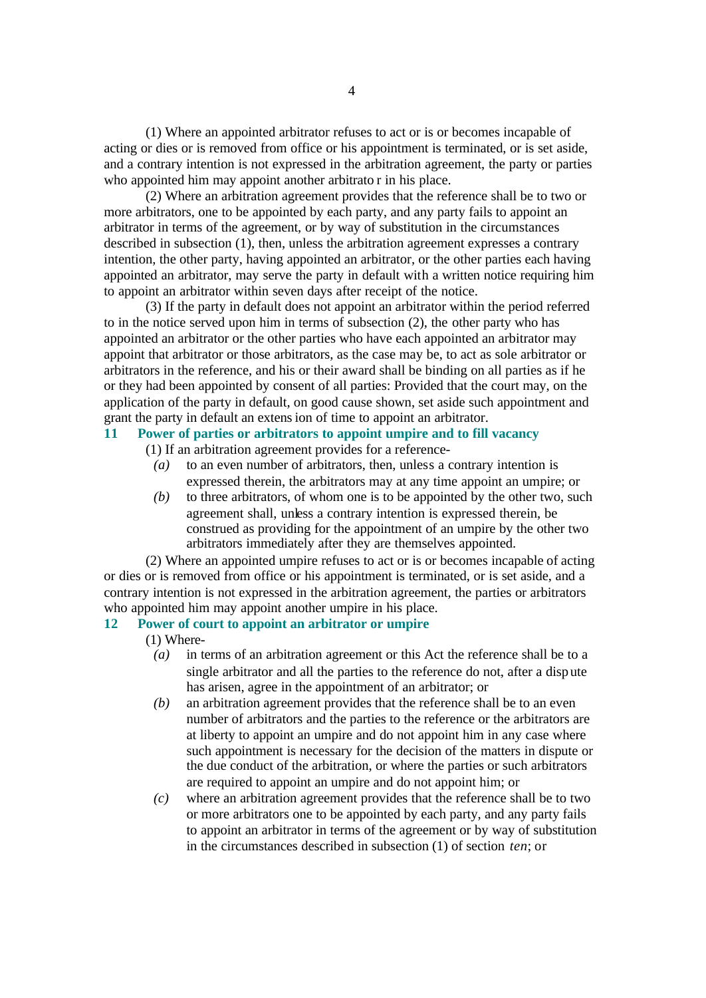(1) Where an appointed arbitrator refuses to act or is or becomes incapable of acting or dies or is removed from office or his appointment is terminated, or is set aside, and a contrary intention is not expressed in the arbitration agreement, the party or parties who appointed him may appoint another arbitrato r in his place.

(2) Where an arbitration agreement provides that the reference shall be to two or more arbitrators, one to be appointed by each party, and any party fails to appoint an arbitrator in terms of the agreement, or by way of substitution in the circumstances described in subsection (1), then, unless the arbitration agreement expresses a contrary intention, the other party, having appointed an arbitrator, or the other parties each having appointed an arbitrator, may serve the party in default with a written notice requiring him to appoint an arbitrator within seven days after receipt of the notice.

(3) If the party in default does not appoint an arbitrator within the period referred to in the notice served upon him in terms of subsection (2), the other party who has appointed an arbitrator or the other parties who have each appointed an arbitrator may appoint that arbitrator or those arbitrators, as the case may be, to act as sole arbitrator or arbitrators in the reference, and his or their award shall be binding on all parties as if he or they had been appointed by consent of all parties: Provided that the court may, on the application of the party in default, on good cause shown, set aside such appointment and grant the party in default an extension of time to appoint an arbitrator.

# **11 Power of parties or arbitrators to appoint umpire and to fill vacancy**

- (1) If an arbitration agreement provides for a reference-
	- *(a)* to an even number of arbitrators, then, unless a contrary intention is expressed therein, the arbitrators may at any time appoint an umpire; or
	- *(b)* to three arbitrators, of whom one is to be appointed by the other two, such agreement shall, unless a contrary intention is expressed therein, be construed as providing for the appointment of an umpire by the other two arbitrators immediately after they are themselves appointed.

(2) Where an appointed umpire refuses to act or is or becomes incapable of acting or dies or is removed from office or his appointment is terminated, or is set aside, and a contrary intention is not expressed in the arbitration agreement, the parties or arbitrators who appointed him may appoint another umpire in his place.

## **12 Power of court to appoint an arbitrator or umpire**

(1) Where-

- *(a)* in terms of an arbitration agreement or this Act the reference shall be to a single arbitrator and all the parties to the reference do not, after a dispute has arisen, agree in the appointment of an arbitrator; or
- *(b)* an arbitration agreement provides that the reference shall be to an even number of arbitrators and the parties to the reference or the arbitrators are at liberty to appoint an umpire and do not appoint him in any case where such appointment is necessary for the decision of the matters in dispute or the due conduct of the arbitration, or where the parties or such arbitrators are required to appoint an umpire and do not appoint him; or
- *(c)* where an arbitration agreement provides that the reference shall be to two or more arbitrators one to be appointed by each party, and any party fails to appoint an arbitrator in terms of the agreement or by way of substitution in the circumstances described in subsection (1) of section *ten*; or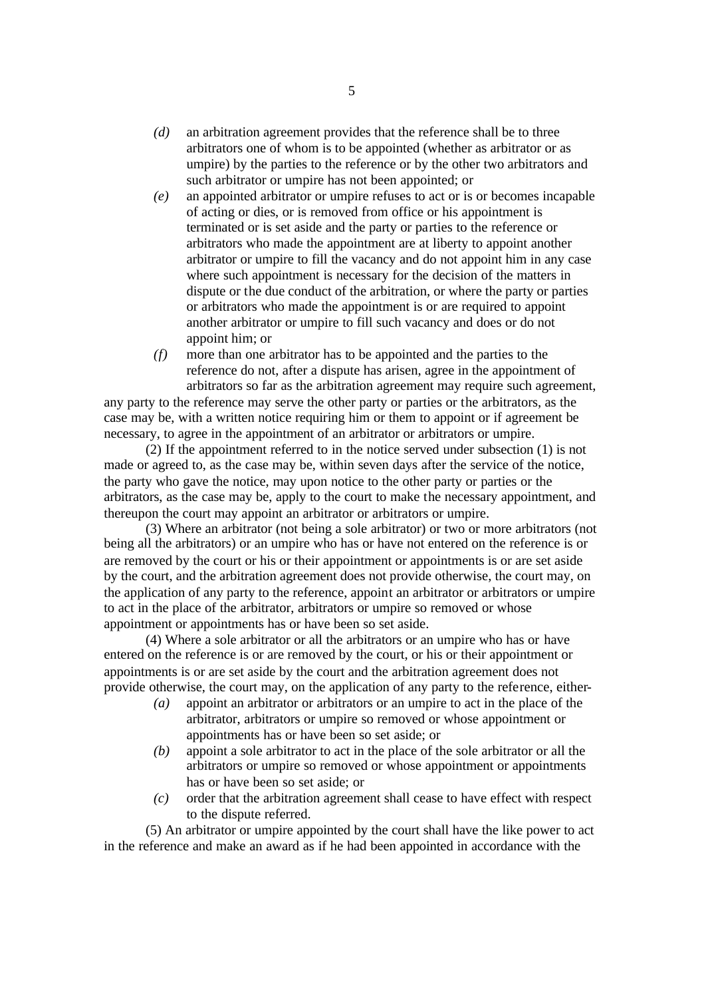- *(d)* an arbitration agreement provides that the reference shall be to three arbitrators one of whom is to be appointed (whether as arbitrator or as umpire) by the parties to the reference or by the other two arbitrators and such arbitrator or umpire has not been appointed; or
- *(e)* an appointed arbitrator or umpire refuses to act or is or becomes incapable of acting or dies, or is removed from office or his appointment is terminated or is set aside and the party or parties to the reference or arbitrators who made the appointment are at liberty to appoint another arbitrator or umpire to fill the vacancy and do not appoint him in any case where such appointment is necessary for the decision of the matters in dispute or the due conduct of the arbitration, or where the party or parties or arbitrators who made the appointment is or are required to appoint another arbitrator or umpire to fill such vacancy and does or do not appoint him; or
- *(f)* more than one arbitrator has to be appointed and the parties to the reference do not, after a dispute has arisen, agree in the appointment of arbitrators so far as the arbitration agreement may require such agreement,

any party to the reference may serve the other party or parties or the arbitrators, as the case may be, with a written notice requiring him or them to appoint or if agreement be necessary, to agree in the appointment of an arbitrator or arbitrators or umpire.

(2) If the appointment referred to in the notice served under subsection (1) is not made or agreed to, as the case may be, within seven days after the service of the notice, the party who gave the notice, may upon notice to the other party or parties or the arbitrators, as the case may be, apply to the court to make the necessary appointment, and thereupon the court may appoint an arbitrator or arbitrators or umpire.

(3) Where an arbitrator (not being a sole arbitrator) or two or more arbitrators (not being all the arbitrators) or an umpire who has or have not entered on the reference is or are removed by the court or his or their appointment or appointments is or are set aside by the court, and the arbitration agreement does not provide otherwise, the court may, on the application of any party to the reference, appoint an arbitrator or arbitrators or umpire to act in the place of the arbitrator, arbitrators or umpire so removed or whose appointment or appointments has or have been so set aside.

(4) Where a sole arbitrator or all the arbitrators or an umpire who has or have entered on the reference is or are removed by the court, or his or their appointment or appointments is or are set aside by the court and the arbitration agreement does not provide otherwise, the court may, on the application of any party to the reference, either-

- *(a)* appoint an arbitrator or arbitrators or an umpire to act in the place of the arbitrator, arbitrators or umpire so removed or whose appointment or appointments has or have been so set aside; or
- *(b)* appoint a sole arbitrator to act in the place of the sole arbitrator or all the arbitrators or umpire so removed or whose appointment or appointments has or have been so set aside; or
- *(c)* order that the arbitration agreement shall cease to have effect with respect to the dispute referred.

(5) An arbitrator or umpire appointed by the court shall have the like power to act in the reference and make an award as if he had been appointed in accordance with the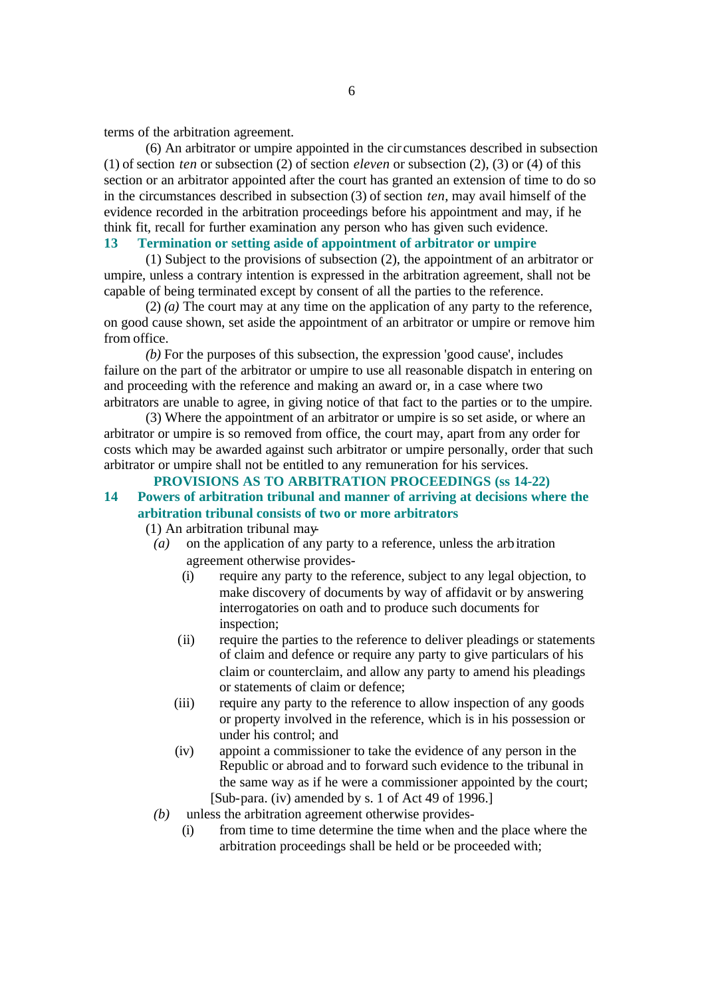terms of the arbitration agreement.

(6) An arbitrator or umpire appointed in the cir cumstances described in subsection (1) of section *ten* or subsection (2) of section *eleven* or subsection (2), (3) or (4) of this section or an arbitrator appointed after the court has granted an extension of time to do so in the circumstances described in subsection (3) of section *ten*, may avail himself of the evidence recorded in the arbitration proceedings before his appointment and may, if he think fit, recall for further examination any person who has given such evidence.

# **13 Termination or setting aside of appointment of arbitrator or umpire**

(1) Subject to the provisions of subsection (2), the appointment of an arbitrator or umpire, unless a contrary intention is expressed in the arbitration agreement, shall not be capable of being terminated except by consent of all the parties to the reference.

(2) *(a)* The court may at any time on the application of any party to the reference, on good cause shown, set aside the appointment of an arbitrator or umpire or remove him from office.

*(b)* For the purposes of this subsection, the expression 'good cause', includes failure on the part of the arbitrator or umpire to use all reasonable dispatch in entering on and proceeding with the reference and making an award or, in a case where two arbitrators are unable to agree, in giving notice of that fact to the parties or to the umpire.

(3) Where the appointment of an arbitrator or umpire is so set aside, or where an arbitrator or umpire is so removed from office, the court may, apart from any order for costs which may be awarded against such arbitrator or umpire personally, order that such arbitrator or umpire shall not be entitled to any remuneration for his services.

**PROVISIONS AS TO ARBITRATION PROCEEDINGS (ss 14-22) 14 Powers of arbitration tribunal and manner of arriving at decisions where the arbitration tribunal consists of two or more arbitrators**

(1) An arbitration tribunal may-

- *(a)* on the application of any party to a reference, unless the arbitration agreement otherwise provides-
	- (i) require any party to the reference, subject to any legal objection, to make discovery of documents by way of affidavit or by answering interrogatories on oath and to produce such documents for inspection;
	- (ii) require the parties to the reference to deliver pleadings or statements of claim and defence or require any party to give particulars of his claim or counterclaim, and allow any party to amend his pleadings or statements of claim or defence;
	- (iii) require any party to the reference to allow inspection of any goods or property involved in the reference, which is in his possession or under his control; and
	- (iv) appoint a commissioner to take the evidence of any person in the Republic or abroad and to forward such evidence to the tribunal in the same way as if he were a commissioner appointed by the court; [Sub-para. (iv) amended by s. 1 of Act 49 of 1996.]
- *(b)* unless the arbitration agreement otherwise provides-
	- (i) from time to time determine the time when and the place where the arbitration proceedings shall be held or be proceeded with;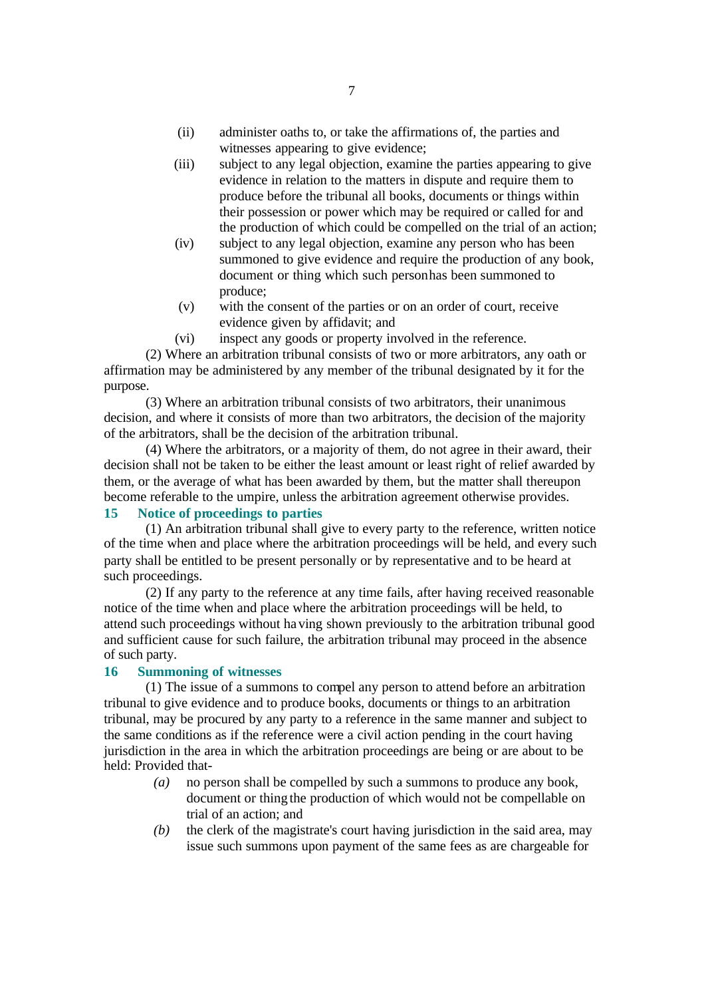- (ii) administer oaths to, or take the affirmations of, the parties and witnesses appearing to give evidence;
- (iii) subject to any legal objection, examine the parties appearing to give evidence in relation to the matters in dispute and require them to produce before the tribunal all books, documents or things within their possession or power which may be required or called for and the production of which could be compelled on the trial of an action;
- (iv) subject to any legal objection, examine any person who has been summoned to give evidence and require the production of any book, document or thing which such person has been summoned to produce;
- (v) with the consent of the parties or on an order of court, receive evidence given by affidavit; and
- (vi) inspect any goods or property involved in the reference.

(2) Where an arbitration tribunal consists of two or more arbitrators, any oath or affirmation may be administered by any member of the tribunal designated by it for the purpose.

(3) Where an arbitration tribunal consists of two arbitrators, their unanimous decision, and where it consists of more than two arbitrators, the decision of the majority of the arbitrators, shall be the decision of the arbitration tribunal.

(4) Where the arbitrators, or a majority of them, do not agree in their award, their decision shall not be taken to be either the least amount or least right of relief awarded by them, or the average of what has been awarded by them, but the matter shall thereupon become referable to the umpire, unless the arbitration agreement otherwise provides.

# **15 Notice of proceedings to parties**

(1) An arbitration tribunal shall give to every party to the reference, written notice of the time when and place where the arbitration proceedings will be held, and every such party shall be entitled to be present personally or by representative and to be heard at such proceedings.

(2) If any party to the reference at any time fails, after having received reasonable notice of the time when and place where the arbitration proceedings will be held, to attend such proceedings without having shown previously to the arbitration tribunal good and sufficient cause for such failure, the arbitration tribunal may proceed in the absence of such party.

## **16 Summoning of witnesses**

(1) The issue of a summons to compel any person to attend before an arbitration tribunal to give evidence and to produce books, documents or things to an arbitration tribunal, may be procured by any party to a reference in the same manner and subject to the same conditions as if the reference were a civil action pending in the court having jurisdiction in the area in which the arbitration proceedings are being or are about to be held: Provided that-

- *(a)* no person shall be compelled by such a summons to produce any book, document or thing the production of which would not be compellable on trial of an action; and
- *(b)* the clerk of the magistrate's court having jurisdiction in the said area, may issue such summons upon payment of the same fees as are chargeable for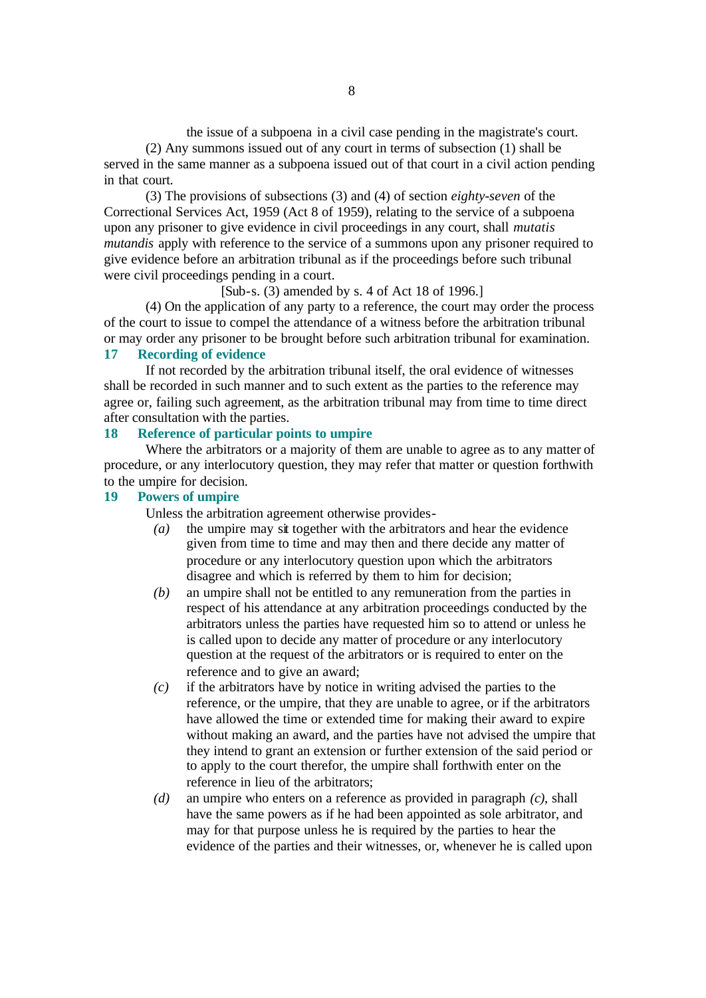the issue of a subpoena in a civil case pending in the magistrate's court. (2) Any summons issued out of any court in terms of subsection (1) shall be

served in the same manner as a subpoena issued out of that court in a civil action pending in that court.

(3) The provisions of subsections (3) and (4) of section *eighty-seven* of the Correctional Services Act, 1959 (Act 8 of 1959), relating to the service of a subpoena upon any prisoner to give evidence in civil proceedings in any court, shall *mutatis mutandis* apply with reference to the service of a summons upon any prisoner required to give evidence before an arbitration tribunal as if the proceedings before such tribunal were civil proceedings pending in a court.

[Sub-s. (3) amended by s. 4 of Act 18 of 1996.]

(4) On the application of any party to a reference, the court may order the process of the court to issue to compel the attendance of a witness before the arbitration tribunal or may order any prisoner to be brought before such arbitration tribunal for examination.

# **17 Recording of evidence**

If not recorded by the arbitration tribunal itself, the oral evidence of witnesses shall be recorded in such manner and to such extent as the parties to the reference may agree or, failing such agreement, as the arbitration tribunal may from time to time direct after consultation with the parties.

## **18 Reference of particular points to umpire**

Where the arbitrators or a majority of them are unable to agree as to any matter of procedure, or any interlocutory question, they may refer that matter or question forthwith to the umpire for decision.

# **19 Powers of umpire**

Unless the arbitration agreement otherwise provides-

- *(a)* the umpire may sit together with the arbitrators and hear the evidence given from time to time and may then and there decide any matter of procedure or any interlocutory question upon which the arbitrators disagree and which is referred by them to him for decision;
- *(b)* an umpire shall not be entitled to any remuneration from the parties in respect of his attendance at any arbitration proceedings conducted by the arbitrators unless the parties have requested him so to attend or unless he is called upon to decide any matter of procedure or any interlocutory question at the request of the arbitrators or is required to enter on the reference and to give an award;
- *(c)* if the arbitrators have by notice in writing advised the parties to the reference, or the umpire, that they are unable to agree, or if the arbitrators have allowed the time or extended time for making their award to expire without making an award, and the parties have not advised the umpire that they intend to grant an extension or further extension of the said period or to apply to the court therefor, the umpire shall forthwith enter on the reference in lieu of the arbitrators;
- *(d)* an umpire who enters on a reference as provided in paragraph *(c)*, shall have the same powers as if he had been appointed as sole arbitrator, and may for that purpose unless he is required by the parties to hear the evidence of the parties and their witnesses, or, whenever he is called upon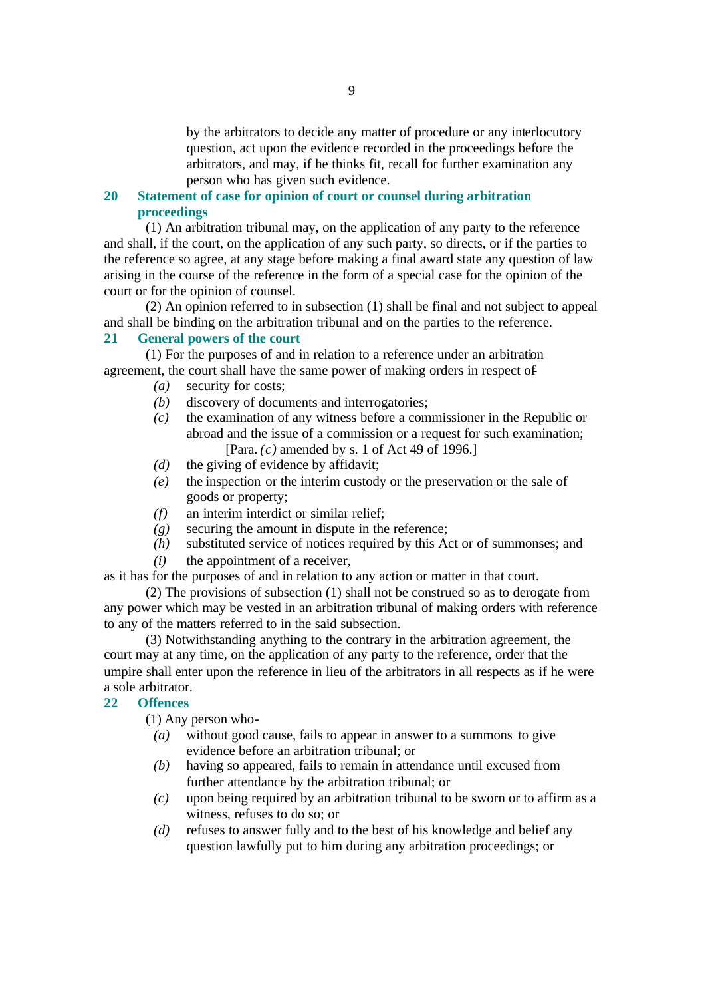by the arbitrators to decide any matter of procedure or any interlocutory question, act upon the evidence recorded in the proceedings before the arbitrators, and may, if he thinks fit, recall for further examination any person who has given such evidence.

# **20 Statement of case for opinion of court or counsel during arbitration proceedings**

(1) An arbitration tribunal may, on the application of any party to the reference and shall, if the court, on the application of any such party, so directs, or if the parties to the reference so agree, at any stage before making a final award state any question of law arising in the course of the reference in the form of a special case for the opinion of the court or for the opinion of counsel.

(2) An opinion referred to in subsection (1) shall be final and not subject to appeal and shall be binding on the arbitration tribunal and on the parties to the reference.

#### **21 General powers of the court**

(1) For the purposes of and in relation to a reference under an arbitration agreement, the court shall have the same power of making orders in respect of-

- *(a)* security for costs;
- *(b)* discovery of documents and interrogatories;
- *(c)* the examination of any witness before a commissioner in the Republic or abroad and the issue of a commission or a request for such examination; [Para. *(c)* amended by s. 1 of Act 49 of 1996.]
- *(d)* the giving of evidence by affidavit;
- *(e)* the inspection or the interim custody or the preservation or the sale of goods or property;
- *(f)* an interim interdict or similar relief;
- $(g)$  securing the amount in dispute in the reference;
- *(h)* substituted service of notices required by this Act or of summonses; and
- *(i)* the appointment of a receiver,

as it has for the purposes of and in relation to any action or matter in that court.

(2) The provisions of subsection (1) shall not be construed so as to derogate from any power which may be vested in an arbitration tribunal of making orders with reference to any of the matters referred to in the said subsection.

(3) Notwithstanding anything to the contrary in the arbitration agreement, the court may at any time, on the application of any party to the reference, order that the umpire shall enter upon the reference in lieu of the arbitrators in all respects as if he were a sole arbitrator.

# **22 Offences**

(1) Any person who-

- *(a)* without good cause, fails to appear in answer to a summons to give evidence before an arbitration tribunal; or
- *(b)* having so appeared, fails to remain in attendance until excused from further attendance by the arbitration tribunal; or
- *(c)* upon being required by an arbitration tribunal to be sworn or to affirm as a witness, refuses to do so; or
- *(d)* refuses to answer fully and to the best of his knowledge and belief any question lawfully put to him during any arbitration proceedings; or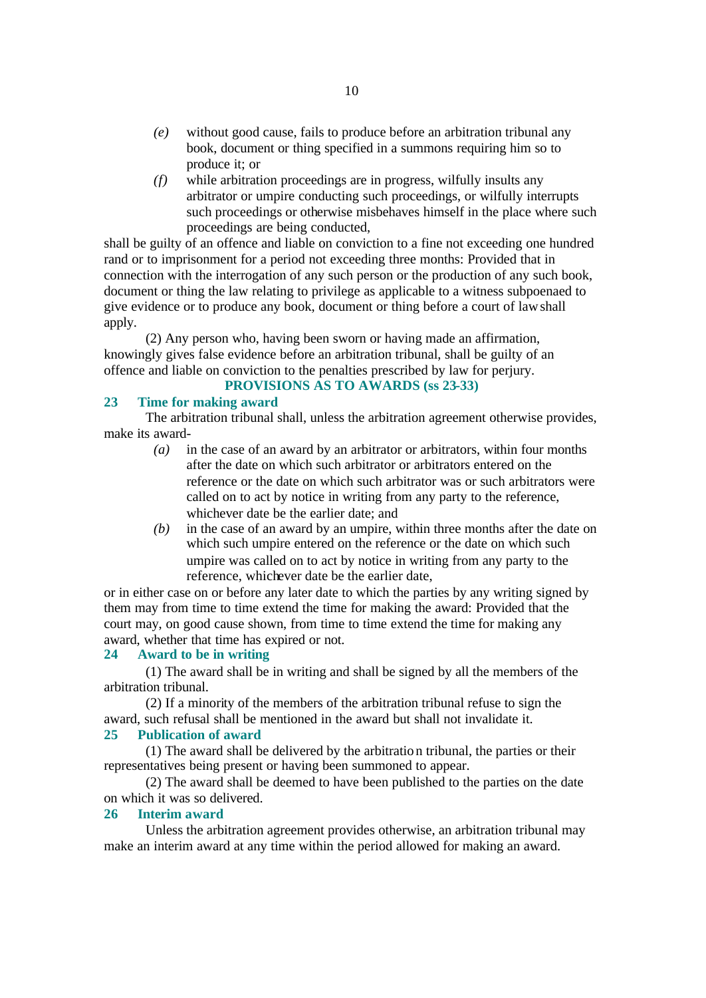- *(e)* without good cause, fails to produce before an arbitration tribunal any book, document or thing specified in a summons requiring him so to produce it; or
- *(f)* while arbitration proceedings are in progress, wilfully insults any arbitrator or umpire conducting such proceedings, or wilfully interrupts such proceedings or otherwise misbehaves himself in the place where such proceedings are being conducted,

shall be guilty of an offence and liable on conviction to a fine not exceeding one hundred rand or to imprisonment for a period not exceeding three months: Provided that in connection with the interrogation of any such person or the production of any such book, document or thing the law relating to privilege as applicable to a witness subpoenaed to give evidence or to produce any book, document or thing before a court of law shall apply.

(2) Any person who, having been sworn or having made an affirmation, knowingly gives false evidence before an arbitration tribunal, shall be guilty of an offence and liable on conviction to the penalties prescribed by law for perjury.

# **PROVISIONS AS TO AWARDS (ss 23-33)**

#### **23 Time for making award**

The arbitration tribunal shall, unless the arbitration agreement otherwise provides, make its award-

- *(a)* in the case of an award by an arbitrator or arbitrators, within four months after the date on which such arbitrator or arbitrators entered on the reference or the date on which such arbitrator was or such arbitrators were called on to act by notice in writing from any party to the reference, whichever date be the earlier date; and
- *(b)* in the case of an award by an umpire, within three months after the date on which such umpire entered on the reference or the date on which such umpire was called on to act by notice in writing from any party to the reference, whichever date be the earlier date,

or in either case on or before any later date to which the parties by any writing signed by them may from time to time extend the time for making the award: Provided that the court may, on good cause shown, from time to time extend the time for making any award, whether that time has expired or not.

## **24 Award to be in writing**

(1) The award shall be in writing and shall be signed by all the members of the arbitration tribunal.

(2) If a minority of the members of the arbitration tribunal refuse to sign the award, such refusal shall be mentioned in the award but shall not invalidate it.

#### **25 Publication of award**

(1) The award shall be delivered by the arbitration tribunal, the parties or their representatives being present or having been summoned to appear.

(2) The award shall be deemed to have been published to the parties on the date on which it was so delivered.

#### **26 Interim award**

Unless the arbitration agreement provides otherwise, an arbitration tribunal may make an interim award at any time within the period allowed for making an award.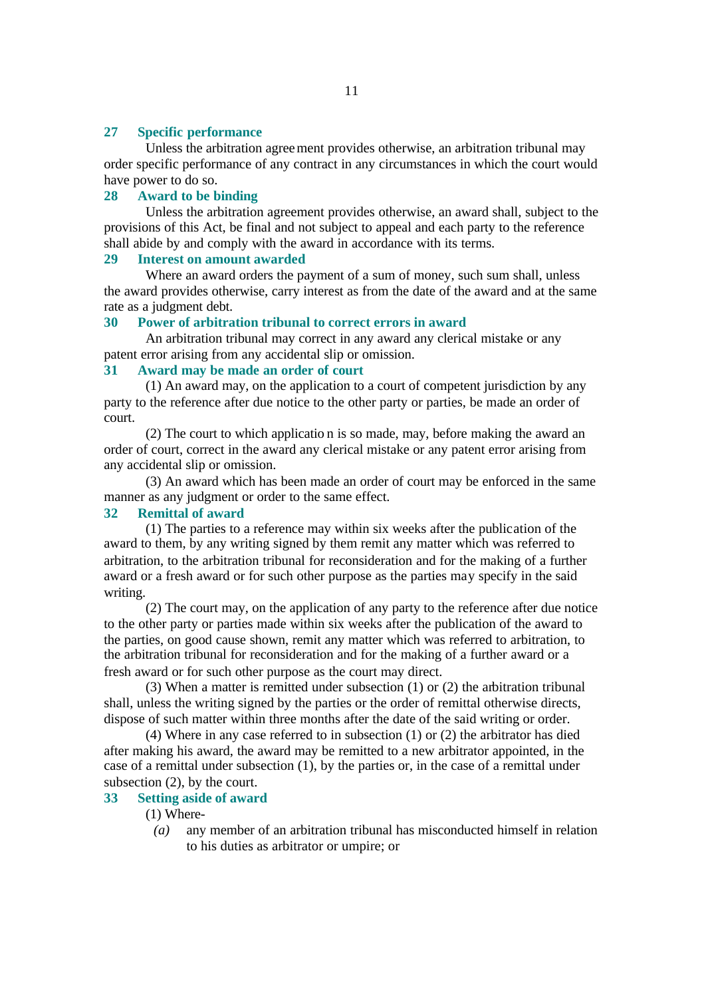#### **27 Specific performance**

Unless the arbitration agreement provides otherwise, an arbitration tribunal may order specific performance of any contract in any circumstances in which the court would have power to do so.

## **28 Award to be binding**

Unless the arbitration agreement provides otherwise, an award shall, subject to the provisions of this Act, be final and not subject to appeal and each party to the reference shall abide by and comply with the award in accordance with its terms.

### **29 Interest on amount awarded**

Where an award orders the payment of a sum of money, such sum shall, unless the award provides otherwise, carry interest as from the date of the award and at the same rate as a judgment debt.

## **30 Power of arbitration tribunal to correct errors in award**

An arbitration tribunal may correct in any award any clerical mistake or any patent error arising from any accidental slip or omission.

# **31 Award may be made an order of court**

(1) An award may, on the application to a court of competent jurisdiction by any party to the reference after due notice to the other party or parties, be made an order of court.

(2) The court to which applicatio n is so made, may, before making the award an order of court, correct in the award any clerical mistake or any patent error arising from any accidental slip or omission.

(3) An award which has been made an order of court may be enforced in the same manner as any judgment or order to the same effect.

# **32 Remittal of award**

(1) The parties to a reference may within six weeks after the publication of the award to them, by any writing signed by them remit any matter which was referred to arbitration, to the arbitration tribunal for reconsideration and for the making of a further award or a fresh award or for such other purpose as the parties may specify in the said writing.

(2) The court may, on the application of any party to the reference after due notice to the other party or parties made within six weeks after the publication of the award to the parties, on good cause shown, remit any matter which was referred to arbitration, to the arbitration tribunal for reconsideration and for the making of a further award or a fresh award or for such other purpose as the court may direct.

(3) When a matter is remitted under subsection (1) or (2) the arbitration tribunal shall, unless the writing signed by the parties or the order of remittal otherwise directs, dispose of such matter within three months after the date of the said writing or order.

(4) Where in any case referred to in subsection (1) or (2) the arbitrator has died after making his award, the award may be remitted to a new arbitrator appointed, in the case of a remittal under subsection (1), by the parties or, in the case of a remittal under subsection (2), by the court.

# **33 Setting aside of award**

(1) Where-

*(a)* any member of an arbitration tribunal has misconducted himself in relation to his duties as arbitrator or umpire; or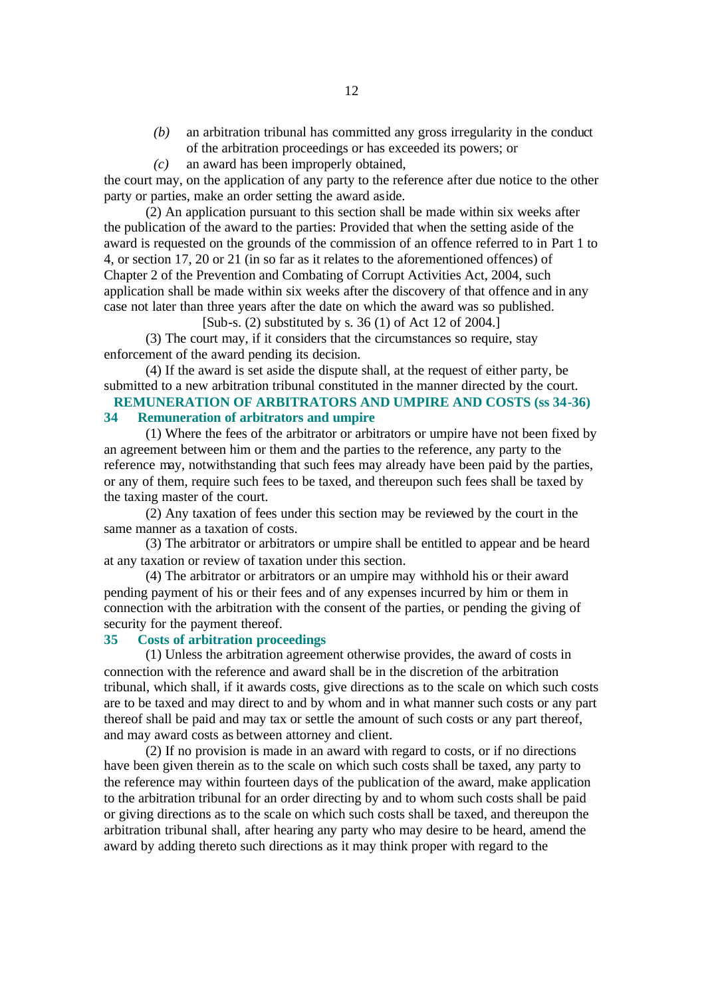- *(b)* an arbitration tribunal has committed any gross irregularity in the conduct of the arbitration proceedings or has exceeded its powers; or
- *(c)* an award has been improperly obtained,

the court may, on the application of any party to the reference after due notice to the other party or parties, make an order setting the award aside.

(2) An application pursuant to this section shall be made within six weeks after the publication of the award to the parties: Provided that when the setting aside of the award is requested on the grounds of the commission of an offence referred to in Part 1 to 4, or section 17, 20 or 21 (in so far as it relates to the aforementioned offences) of Chapter 2 of the Prevention and Combating of Corrupt Activities Act, 2004, such application shall be made within six weeks after the discovery of that offence and in any case not later than three years after the date on which the award was so published.

[Sub-s. (2) substituted by s. 36 (1) of Act 12 of 2004.]

(3) The court may, if it considers that the circumstances so require, stay enforcement of the award pending its decision.

(4) If the award is set aside the dispute shall, at the request of either party, be submitted to a new arbitration tribunal constituted in the manner directed by the court.

## **REMUNERATION OF ARBITRATORS AND UMPIRE AND COSTS (ss 34-36) 34 Remuneration of arbitrators and umpire**

(1) Where the fees of the arbitrator or arbitrators or umpire have not been fixed by an agreement between him or them and the parties to the reference, any party to the reference may, notwithstanding that such fees may already have been paid by the parties, or any of them, require such fees to be taxed, and thereupon such fees shall be taxed by the taxing master of the court.

(2) Any taxation of fees under this section may be reviewed by the court in the same manner as a taxation of costs.

(3) The arbitrator or arbitrators or umpire shall be entitled to appear and be heard at any taxation or review of taxation under this section.

(4) The arbitrator or arbitrators or an umpire may withhold his or their award pending payment of his or their fees and of any expenses incurred by him or them in connection with the arbitration with the consent of the parties, or pending the giving of security for the payment thereof.

## **35 Costs of arbitration proceedings**

(1) Unless the arbitration agreement otherwise provides, the award of costs in connection with the reference and award shall be in the discretion of the arbitration tribunal, which shall, if it awards costs, give directions as to the scale on which such costs are to be taxed and may direct to and by whom and in what manner such costs or any part thereof shall be paid and may tax or settle the amount of such costs or any part thereof, and may award costs as between attorney and client.

(2) If no provision is made in an award with regard to costs, or if no directions have been given therein as to the scale on which such costs shall be taxed, any party to the reference may within fourteen days of the publication of the award, make application to the arbitration tribunal for an order directing by and to whom such costs shall be paid or giving directions as to the scale on which such costs shall be taxed, and thereupon the arbitration tribunal shall, after hearing any party who may desire to be heard, amend the award by adding thereto such directions as it may think proper with regard to the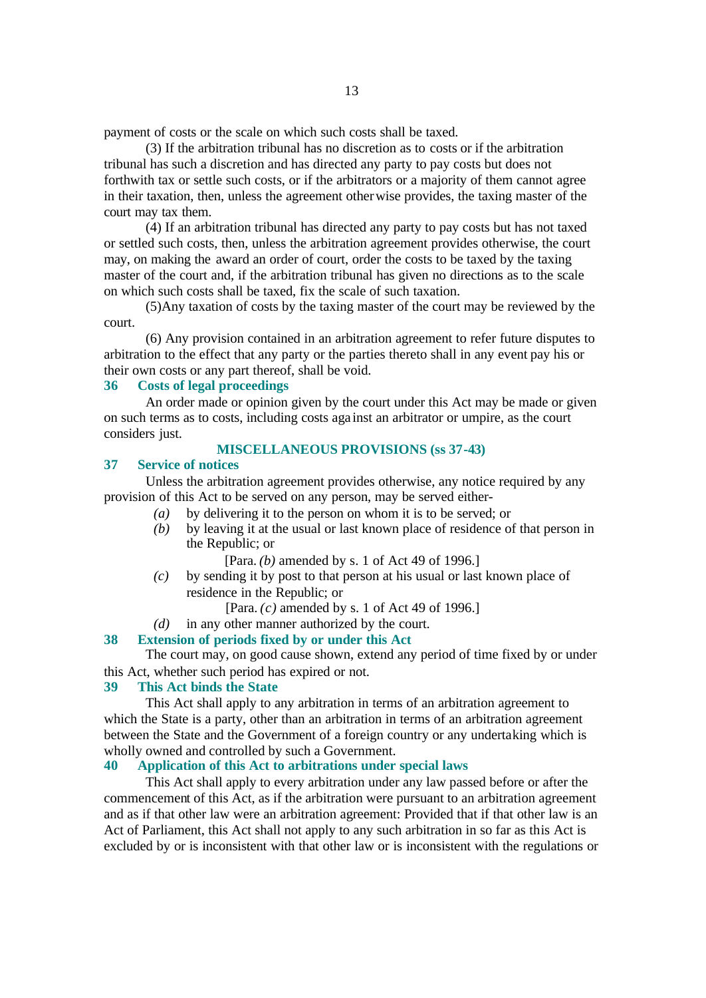payment of costs or the scale on which such costs shall be taxed.

(3) If the arbitration tribunal has no discretion as to costs or if the arbitration tribunal has such a discretion and has directed any party to pay costs but does not forthwith tax or settle such costs, or if the arbitrators or a majority of them cannot agree in their taxation, then, unless the agreement otherwise provides, the taxing master of the court may tax them.

(4) If an arbitration tribunal has directed any party to pay costs but has not taxed or settled such costs, then, unless the arbitration agreement provides otherwise, the court may, on making the award an order of court, order the costs to be taxed by the taxing master of the court and, if the arbitration tribunal has given no directions as to the scale on which such costs shall be taxed, fix the scale of such taxation.

(5)Any taxation of costs by the taxing master of the court may be reviewed by the court.

(6) Any provision contained in an arbitration agreement to refer future disputes to arbitration to the effect that any party or the parties thereto shall in any event pay his or their own costs or any part thereof, shall be void.

## **36 Costs of legal proceedings**

An order made or opinion given by the court under this Act may be made or given on such terms as to costs, including costs aga inst an arbitrator or umpire, as the court considers just.

# **MISCELLANEOUS PROVISIONS (ss 37-43)**

#### **37 Service of notices**

Unless the arbitration agreement provides otherwise, any notice required by any provision of this Act to be served on any person, may be served either-

- *(a)* by delivering it to the person on whom it is to be served; or
- *(b)* by leaving it at the usual or last known place of residence of that person in the Republic; or
	- [Para. *(b)* amended by s. 1 of Act 49 of 1996.]
- *(c)* by sending it by post to that person at his usual or last known place of residence in the Republic; or

[Para. *(c)* amended by s. 1 of Act 49 of 1996.]

*(d)* in any other manner authorized by the court.

#### **38 Extension of periods fixed by or under this Act**

The court may, on good cause shown, extend any period of time fixed by or under this Act, whether such period has expired or not.

#### **39 This Act binds the State**

This Act shall apply to any arbitration in terms of an arbitration agreement to which the State is a party, other than an arbitration in terms of an arbitration agreement between the State and the Government of a foreign country or any undertaking which is wholly owned and controlled by such a Government.

## **40 Application of this Act to arbitrations under special laws**

This Act shall apply to every arbitration under any law passed before or after the commencement of this Act, as if the arbitration were pursuant to an arbitration agreement and as if that other law were an arbitration agreement: Provided that if that other law is an Act of Parliament, this Act shall not apply to any such arbitration in so far as this Act is excluded by or is inconsistent with that other law or is inconsistent with the regulations or